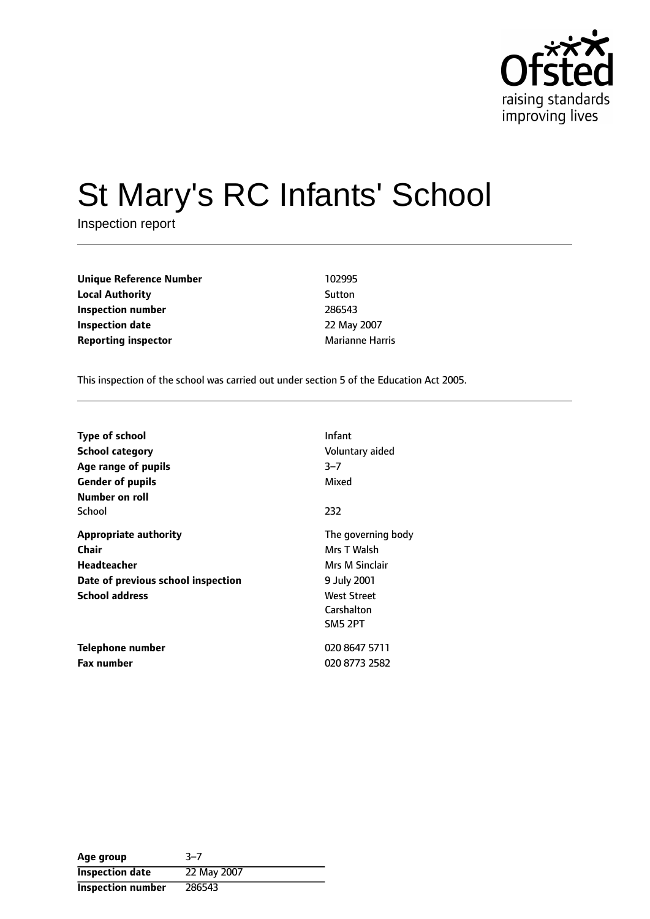

# St Mary's RC Infants' School

Inspection report

**Unique Reference Number** 102995 **Local Authority** Sutton **Inspection number** 286543 **Inspection date** 22 May 2007 **Reporting inspector** Marianne Harris

This inspection of the school was carried out under section 5 of the Education Act 2005.

| <b>Type of school</b><br>School category<br>Age range of pupils<br><b>Gender of pupils</b> | Infant<br>Voluntary aided<br>$3 - 7$<br>Mixed |
|--------------------------------------------------------------------------------------------|-----------------------------------------------|
| Number on roll                                                                             |                                               |
| School                                                                                     | 232                                           |
| <b>Appropriate authority</b>                                                               | The governing body                            |
| Chair                                                                                      | Mrs T Walsh                                   |
| Headteacher                                                                                | Mrs M Sinclair                                |
| Date of previous school inspection                                                         | 9 July 2001                                   |
| <b>School address</b>                                                                      | West Street                                   |
|                                                                                            | Carshalton                                    |
|                                                                                            | <b>SM5 2PT</b>                                |
| <b>Telephone number</b>                                                                    | 020 8647 5711                                 |
| <b>Fax number</b>                                                                          | 020 8773 2582                                 |

| Age group              | $3 - 7$     |
|------------------------|-------------|
| <b>Inspection date</b> | 22 May 2007 |
| Inspection number      | 286543      |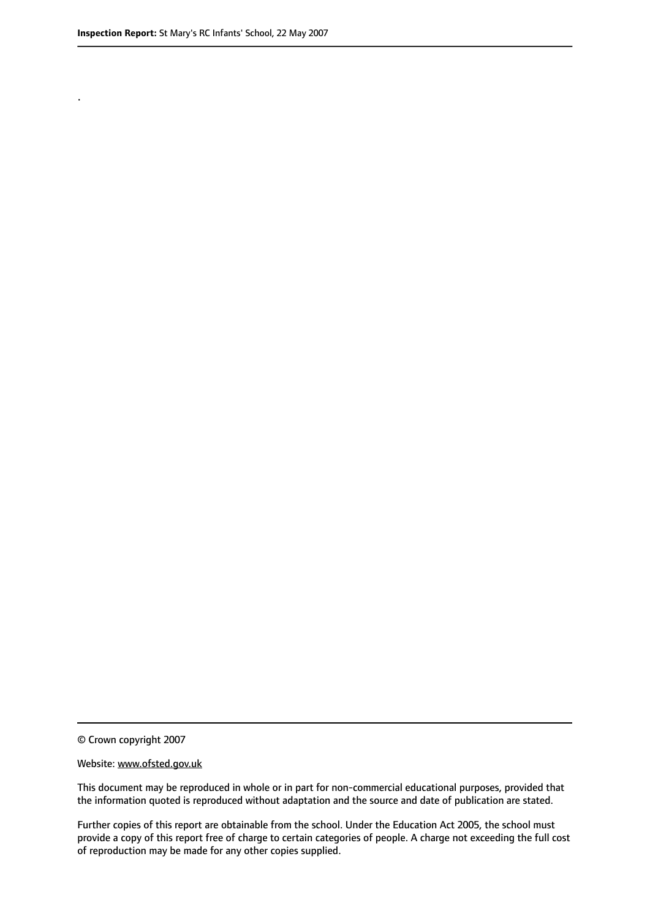.

© Crown copyright 2007

#### Website: www.ofsted.gov.uk

This document may be reproduced in whole or in part for non-commercial educational purposes, provided that the information quoted is reproduced without adaptation and the source and date of publication are stated.

Further copies of this report are obtainable from the school. Under the Education Act 2005, the school must provide a copy of this report free of charge to certain categories of people. A charge not exceeding the full cost of reproduction may be made for any other copies supplied.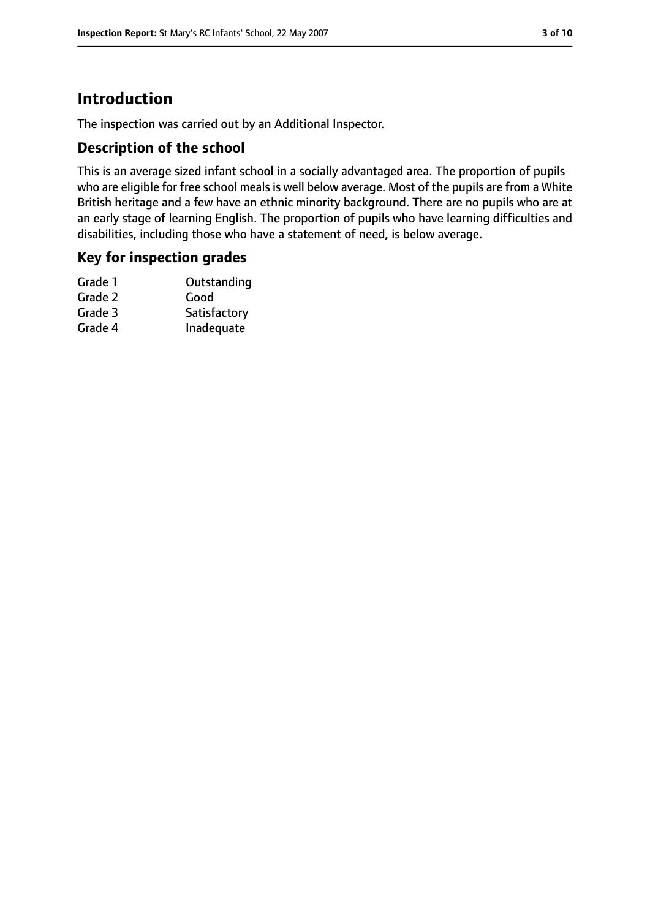# **Introduction**

The inspection was carried out by an Additional Inspector.

## **Description of the school**

This is an average sized infant school in a socially advantaged area. The proportion of pupils who are eligible for free school meals is well below average. Most of the pupils are from a White British heritage and a few have an ethnic minority background. There are no pupils who are at an early stage of learning English. The proportion of pupils who have learning difficulties and disabilities, including those who have a statement of need, is below average.

## **Key for inspection grades**

| Grade 1 | Outstanding  |
|---------|--------------|
| Grade 2 | Good         |
| Grade 3 | Satisfactory |
| Grade 4 | Inadequate   |
|         |              |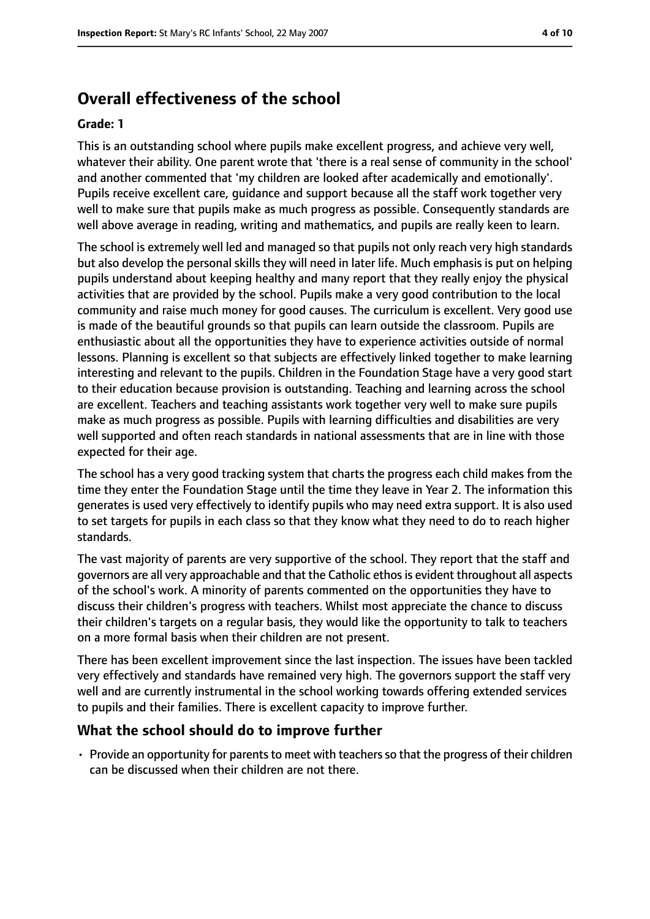# **Overall effectiveness of the school**

#### **Grade: 1**

This is an outstanding school where pupils make excellent progress, and achieve very well, whatever their ability. One parent wrote that 'there is a real sense of community in the school' and another commented that 'my children are looked after academically and emotionally'. Pupils receive excellent care, guidance and support because all the staff work together very well to make sure that pupils make as much progress as possible. Consequently standards are well above average in reading, writing and mathematics, and pupils are really keen to learn.

The school is extremely well led and managed so that pupils not only reach very high standards but also develop the personal skills they will need in later life. Much emphasis is put on helping pupils understand about keeping healthy and many report that they really enjoy the physical activities that are provided by the school. Pupils make a very good contribution to the local community and raise much money for good causes. The curriculum is excellent. Very good use is made of the beautiful grounds so that pupils can learn outside the classroom. Pupils are enthusiastic about all the opportunities they have to experience activities outside of normal lessons. Planning is excellent so that subjects are effectively linked together to make learning interesting and relevant to the pupils. Children in the Foundation Stage have a very good start to their education because provision is outstanding. Teaching and learning across the school are excellent. Teachers and teaching assistants work together very well to make sure pupils make as much progress as possible. Pupils with learning difficulties and disabilities are very well supported and often reach standards in national assessments that are in line with those expected for their age.

The school has a very good tracking system that charts the progress each child makes from the time they enter the Foundation Stage until the time they leave in Year 2. The information this generates is used very effectively to identify pupils who may need extra support. It is also used to set targets for pupils in each class so that they know what they need to do to reach higher standards.

The vast majority of parents are very supportive of the school. They report that the staff and governors are all very approachable and that the Catholic ethosis evident throughout all aspects of the school's work. A minority of parents commented on the opportunities they have to discuss their children's progress with teachers. Whilst most appreciate the chance to discuss their children's targets on a regular basis, they would like the opportunity to talk to teachers on a more formal basis when their children are not present.

There has been excellent improvement since the last inspection. The issues have been tackled very effectively and standards have remained very high. The governors support the staff very well and are currently instrumental in the school working towards offering extended services to pupils and their families. There is excellent capacity to improve further.

## **What the school should do to improve further**

• Provide an opportunity for parents to meet with teachers so that the progress of their children can be discussed when their children are not there.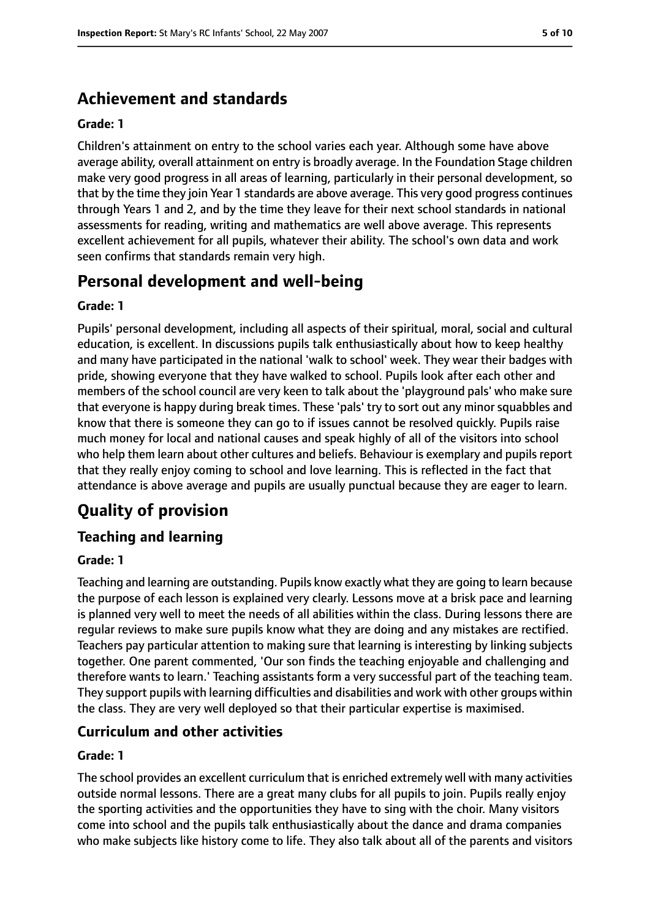# **Achievement and standards**

#### **Grade: 1**

Children's attainment on entry to the school varies each year. Although some have above average ability, overall attainment on entry is broadly average. In the Foundation Stage children make very good progress in all areas of learning, particularly in their personal development, so that by the time they join Year 1 standards are above average. This very good progress continues through Years 1 and 2, and by the time they leave for their next school standards in national assessments for reading, writing and mathematics are well above average. This represents excellent achievement for all pupils, whatever their ability. The school's own data and work seen confirms that standards remain very high.

# **Personal development and well-being**

#### **Grade: 1**

Pupils' personal development, including all aspects of their spiritual, moral, social and cultural education, is excellent. In discussions pupils talk enthusiastically about how to keep healthy and many have participated in the national 'walk to school' week. They wear their badges with pride, showing everyone that they have walked to school. Pupils look after each other and members of the school council are very keen to talk about the 'playground pals' who make sure that everyone is happy during break times. These 'pals' try to sort out any minor squabbles and know that there is someone they can go to if issues cannot be resolved quickly. Pupils raise much money for local and national causes and speak highly of all of the visitors into school who help them learn about other cultures and beliefs. Behaviour is exemplary and pupils report that they really enjoy coming to school and love learning. This is reflected in the fact that attendance is above average and pupils are usually punctual because they are eager to learn.

# **Quality of provision**

## **Teaching and learning**

#### **Grade: 1**

Teaching and learning are outstanding. Pupils know exactly what they are going to learn because the purpose of each lesson is explained very clearly. Lessons move at a brisk pace and learning is planned very well to meet the needs of all abilities within the class. During lessons there are regular reviews to make sure pupils know what they are doing and any mistakes are rectified. Teachers pay particular attention to making sure that learning is interesting by linking subjects together. One parent commented, 'Our son finds the teaching enjoyable and challenging and therefore wants to learn.' Teaching assistants form a very successful part of the teaching team. They support pupils with learning difficulties and disabilities and work with other groups within the class. They are very well deployed so that their particular expertise is maximised.

#### **Curriculum and other activities**

#### **Grade: 1**

The school provides an excellent curriculum that is enriched extremely well with many activities outside normal lessons. There are a great many clubs for all pupils to join. Pupils really enjoy the sporting activities and the opportunities they have to sing with the choir. Many visitors come into school and the pupils talk enthusiastically about the dance and drama companies who make subjects like history come to life. They also talk about all of the parents and visitors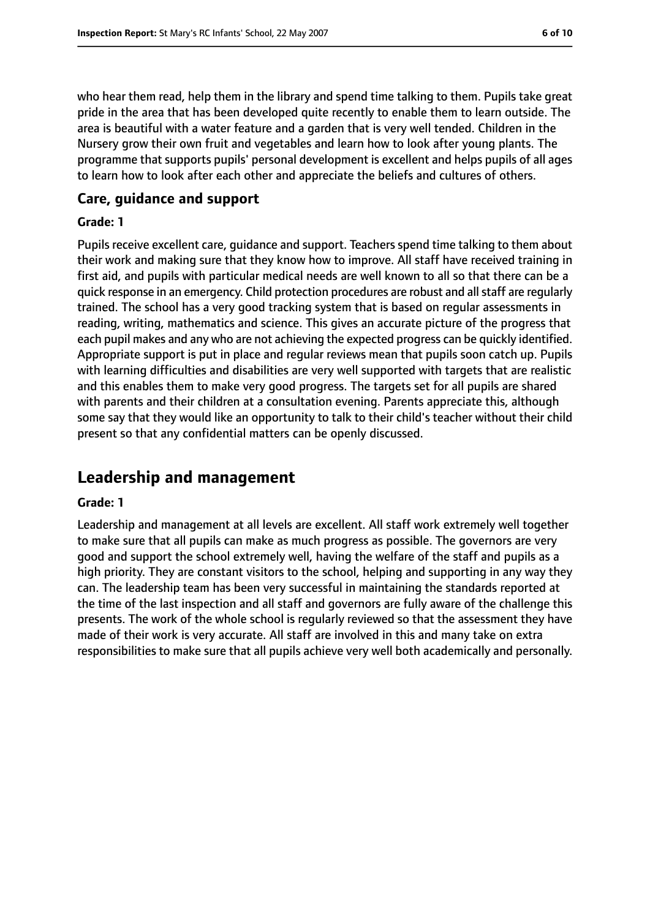who hear them read, help them in the library and spend time talking to them. Pupils take great pride in the area that has been developed quite recently to enable them to learn outside. The area is beautiful with a water feature and a garden that is very well tended. Children in the Nursery grow their own fruit and vegetables and learn how to look after young plants. The programme that supports pupils' personal development is excellent and helps pupils of all ages to learn how to look after each other and appreciate the beliefs and cultures of others.

### **Care, guidance and support**

#### **Grade: 1**

Pupils receive excellent care, guidance and support. Teachers spend time talking to them about their work and making sure that they know how to improve. All staff have received training in first aid, and pupils with particular medical needs are well known to all so that there can be a quick response in an emergency. Child protection procedures are robust and allstaff are regularly trained. The school has a very good tracking system that is based on regular assessments in reading, writing, mathematics and science. This gives an accurate picture of the progress that each pupil makes and any who are not achieving the expected progress can be quickly identified. Appropriate support is put in place and regular reviews mean that pupils soon catch up. Pupils with learning difficulties and disabilities are very well supported with targets that are realistic and this enables them to make very good progress. The targets set for all pupils are shared with parents and their children at a consultation evening. Parents appreciate this, although some say that they would like an opportunity to talk to their child's teacher without their child present so that any confidential matters can be openly discussed.

# **Leadership and management**

#### **Grade: 1**

Leadership and management at all levels are excellent. All staff work extremely well together to make sure that all pupils can make as much progress as possible. The governors are very good and support the school extremely well, having the welfare of the staff and pupils as a high priority. They are constant visitors to the school, helping and supporting in any way they can. The leadership team has been very successful in maintaining the standards reported at the time of the last inspection and all staff and governors are fully aware of the challenge this presents. The work of the whole school is regularly reviewed so that the assessment they have made of their work is very accurate. All staff are involved in this and many take on extra responsibilities to make sure that all pupils achieve very well both academically and personally.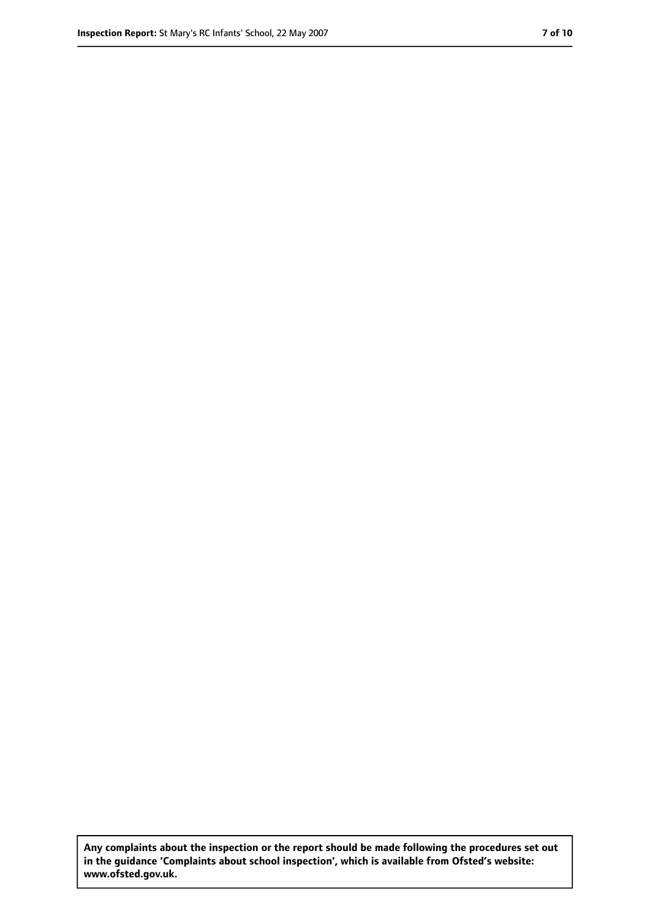**Any complaints about the inspection or the report should be made following the procedures set out in the guidance 'Complaints about school inspection', which is available from Ofsted's website: www.ofsted.gov.uk.**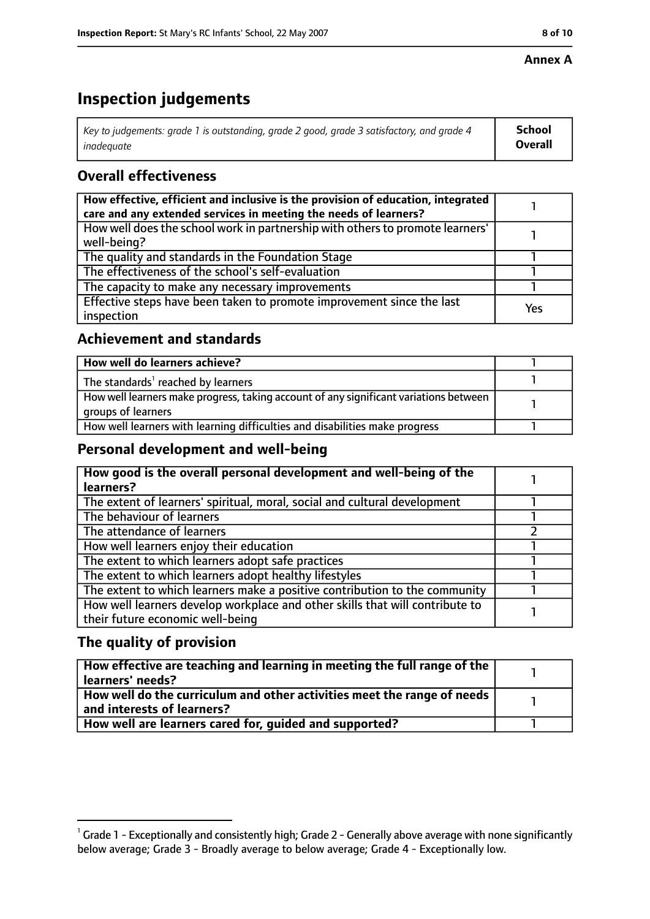#### **Annex A**

# **Inspection judgements**

| Key to judgements: grade 1 is outstanding, grade 2 good, grade 3 satisfactory, and grade 4 | School         |
|--------------------------------------------------------------------------------------------|----------------|
| inadeguate                                                                                 | <b>Overall</b> |

## **Overall effectiveness**

| How effective, efficient and inclusive is the provision of education, integrated<br>care and any extended services in meeting the needs of learners? |     |
|------------------------------------------------------------------------------------------------------------------------------------------------------|-----|
| How well does the school work in partnership with others to promote learners'<br>well-being?                                                         |     |
| The quality and standards in the Foundation Stage                                                                                                    |     |
| The effectiveness of the school's self-evaluation                                                                                                    |     |
| The capacity to make any necessary improvements                                                                                                      |     |
| Effective steps have been taken to promote improvement since the last<br>inspection                                                                  | Yes |

## **Achievement and standards**

| How well do learners achieve?                                                                               |  |
|-------------------------------------------------------------------------------------------------------------|--|
| The standards <sup>1</sup> reached by learners                                                              |  |
| How well learners make progress, taking account of any significant variations between<br>groups of learners |  |
| How well learners with learning difficulties and disabilities make progress                                 |  |

## **Personal development and well-being**

| How good is the overall personal development and well-being of the<br>learners? |  |
|---------------------------------------------------------------------------------|--|
|                                                                                 |  |
| The extent of learners' spiritual, moral, social and cultural development       |  |
| The behaviour of learners                                                       |  |
| The attendance of learners                                                      |  |
| How well learners enjoy their education                                         |  |
| The extent to which learners adopt safe practices                               |  |
| The extent to which learners adopt healthy lifestyles                           |  |
| The extent to which learners make a positive contribution to the community      |  |
| How well learners develop workplace and other skills that will contribute to    |  |
| their future economic well-being                                                |  |

## **The quality of provision**

| $\mid$ How effective are teaching and learning in meeting the full range of the $\mid$<br>  learners' needs?               |  |
|----------------------------------------------------------------------------------------------------------------------------|--|
| $\mid$ How well do the curriculum and other activities meet the range of needs $\mid$<br>$\mid$ and interests of learners? |  |
| How well are learners cared for, quided and supported?                                                                     |  |

 $^1$  Grade 1 - Exceptionally and consistently high; Grade 2 - Generally above average with none significantly below average; Grade 3 - Broadly average to below average; Grade 4 - Exceptionally low.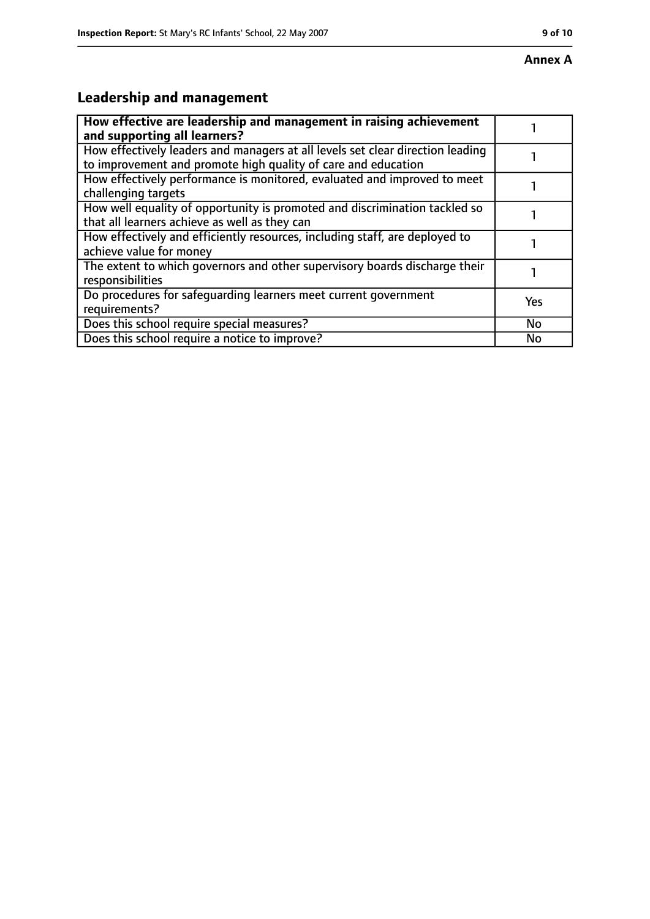# **Leadership and management**

| How effective are leadership and management in raising achievement<br>and supporting all learners?                                              |           |
|-------------------------------------------------------------------------------------------------------------------------------------------------|-----------|
| How effectively leaders and managers at all levels set clear direction leading<br>to improvement and promote high quality of care and education |           |
| How effectively performance is monitored, evaluated and improved to meet<br>challenging targets                                                 |           |
| How well equality of opportunity is promoted and discrimination tackled so<br>that all learners achieve as well as they can                     |           |
| How effectively and efficiently resources, including staff, are deployed to<br>achieve value for money                                          |           |
| The extent to which governors and other supervisory boards discharge their<br>responsibilities                                                  |           |
| Do procedures for safeguarding learners meet current government<br>requirements?                                                                | Yes       |
| Does this school require special measures?                                                                                                      | <b>No</b> |
| Does this school require a notice to improve?                                                                                                   | No        |